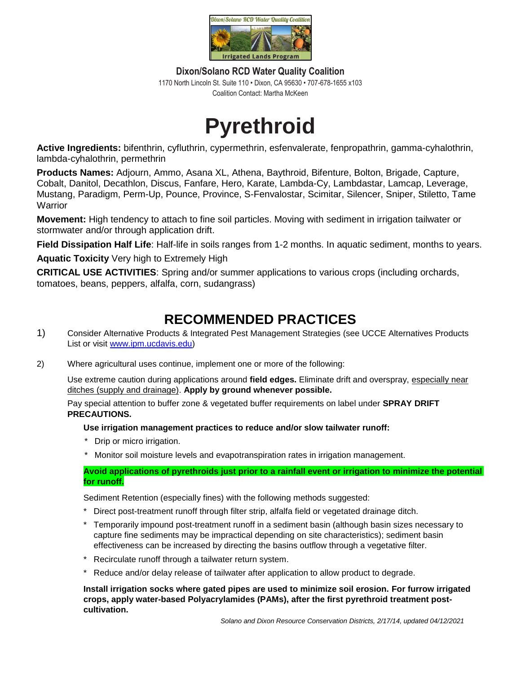

**Dixon/Solano RCD Water Quality Coalition** 1170 North Lincoln St. Suite 110 • Dixon, CA 95630 • 707-678-1655 x103 Coalition Contact: Martha McKeen

## **Pyrethroid**

**Active Ingredients:** bifenthrin, cyfluthrin, cypermethrin, esfenvalerate, fenpropathrin, gamma-cyhalothrin, lambda-cyhalothrin, permethrin

**Products Names:** Adjourn, Ammo, Asana XL, Athena, Baythroid, Bifenture, Bolton, Brigade, Capture, Cobalt, Danitol, Decathlon, Discus, Fanfare, Hero, Karate, Lambda-Cy, Lambdastar, Lamcap, Leverage, Mustang, Paradigm, Perm-Up, Pounce, Province, S-Fenvalostar, Scimitar, Silencer, Sniper, Stiletto, Tame **Warrior** 

**Movement:** High tendency to attach to fine soil particles. Moving with sediment in irrigation tailwater or stormwater and/or through application drift.

**Field Dissipation Half Life**: Half-life in soils ranges from 1-2 months. In aquatic sediment, months to years.

**Aquatic Toxicity** Very high to Extremely High

**CRITICAL USE ACTIVITIES**: Spring and/or summer applications to various crops (including orchards, tomatoes, beans, peppers, alfalfa, corn, sudangrass)

## **RECOMMENDED PRACTICES**

- 1) Consider Alternative Products & Integrated Pest Management Strategies (see UCCE Alternatives Products List or visit [www.ipm.ucdavis.edu\)](http://www.ipm.ucdavis.edu/)
- 2) Where agricultural uses continue, implement one or more of the following:

Use extreme caution during applications around **field edges.** Eliminate drift and overspray, especially near ditches (supply and drainage). **Apply by ground whenever possible.**

Pay special attention to buffer zone & vegetated buffer requirements on label under **SPRAY DRIFT PRECAUTIONS.**

**Use irrigation management practices to reduce and/or slow tailwater runoff:** 

- Drip or micro irrigation.
- Monitor soil moisture levels and evapotranspiration rates in irrigation management.

**Avoid applications of pyrethroids just prior to a rainfall event or irrigation to minimize the potential for runoff.**

Sediment Retention (especially fines) with the following methods suggested:

- Direct post-treatment runoff through filter strip, alfalfa field or vegetated drainage ditch.
- Temporarily impound post-treatment runoff in a sediment basin (although basin sizes necessary to capture fine sediments may be impractical depending on site characteristics); sediment basin effectiveness can be increased by directing the basins outflow through a vegetative filter.
- \* Recirculate runoff through a tailwater return system.
- \* Reduce and/or delay release of tailwater after application to allow product to degrade.

**Install irrigation socks where gated pipes are used to minimize soil erosion. For furrow irrigated crops, apply water-based Polyacrylamides (PAMs), after the first pyrethroid treatment postcultivation.**